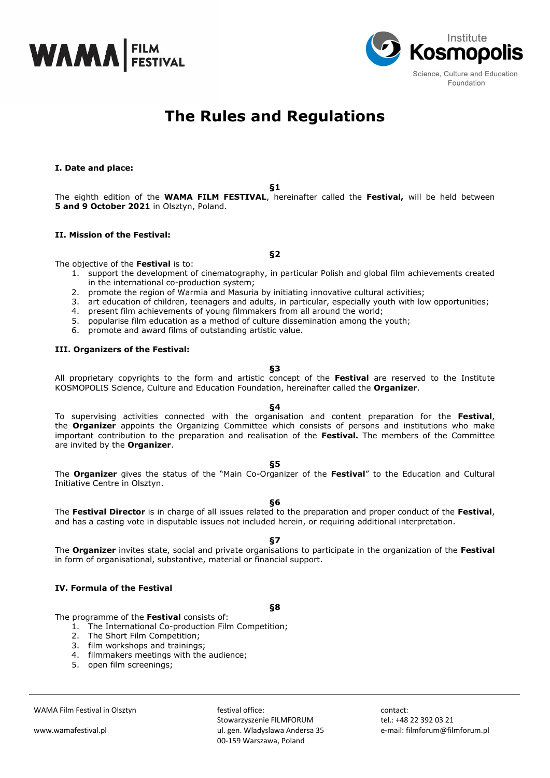



# **The Rules and Regulations**

## **I. Date and place:**

**§1**

The eighth edition of the **WAMA FILM FESTIVAL**, hereinafter called the **Festival,** will be held between **5 and 9 October 2021** in Olsztyn, Poland.

**§2**

## **II. Mission of the Festival:**

The objective of the **Festival** is to:

- 1. support the development of cinematography, in particular Polish and global film achievements created in the international co-production system;
- 2. promote the region of Warmia and Masuria by initiating innovative cultural activities;
- 3. art education of children, teenagers and adults, in particular, especially youth with low opportunities;
- 4. present film achievements of young filmmakers from all around the world;
- 5. popularise film education as a method of culture dissemination among the youth;
- 6. promote and award films of outstanding artistic value.

#### **III. Organizers of the Festival:**

**§3**

All proprietary copyrights to the form and artistic concept of the **Festival** are reserved to the Institute KOSMOPOLIS Science, Culture and Education Foundation, hereinafter called the **Organizer**.

## **§4**

To supervising activities connected with the organisation and content preparation for the **Festival**, the **Organizer** appoints the Organizing Committee which consists of persons and institutions who make important contribution to the preparation and realisation of the **Festival.** The members of the Committee are invited by the **Organizer**.

#### **§5**

The **Organizer** gives the status of the "Main Co-Organizer of the **Festival**" to the Education and Cultural Initiative Centre in Olsztyn.

#### **§6**

The **Festival Director** is in charge of all issues related to the preparation and proper conduct of the **Festival**, and has a casting vote in disputable issues not included herein, or requiring additional interpretation.

## **§7**

The **Organizer** invites state, social and private organisations to participate in the organization of the **Festival** in form of organisational, substantive, material or financial support.

## **IV. Formula of the Festival**

**§8**

The programme of the **Festival** consists of:

1. The International Co-production Film Competition;

- 2. The Short Film Competition;
- 3. film workshops and trainings;
- 4. filmmakers meetings with the audience;
- 5. open film screenings;

festival office: Stowarzyszenie FILMFORUM ul. gen. Wladyslawa Andersa 35 00-159 Warszawa, Poland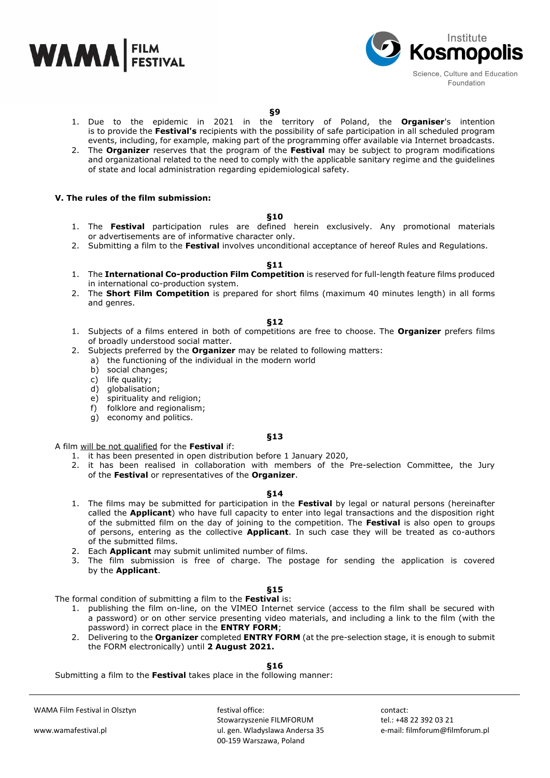



## **§9**

- 1. Due to the epidemic in 2021 in the territory of Poland, the **Organiser**'s intention is to provide the **Festival's** recipients with the possibility of safe participation in all scheduled program events, including, for example, making part of the programming offer available via Internet broadcasts.
- 2. The **Organizer** reserves that the program of the **Festival** may be subject to program modifications and organizational related to the need to comply with the applicable sanitary regime and the guidelines of state and local administration regarding epidemiological safety.

# **V. The rules of the film submission:**

## **§10**

- 1. The **Festival** participation rules are defined herein exclusively. Any promotional materials or advertisements are of informative character only.
- 2. Submitting a film to the **Festival** involves unconditional acceptance of hereof Rules and Regulations.

## **§11**

- 1. The **International Co-production Film Competition** is reserved for full-length feature films produced in international co-production system.
- 2. The **Short Film Competition** is prepared for short films (maximum 40 minutes length) in all forms and genres.

## **§12**

- 1. Subjects of a films entered in both of competitions are free to choose. The **Organizer** prefers films of broadly understood social matter.
- 2. Subjects preferred by the **Organizer** may be related to following matters:
	- a) the functioning of the individual in the modern world
	- b) social changes;
	- c) life quality;
	- d) globalisation;
	- e) spirituality and religion;
	- f) folklore and regionalism;
	- g) economy and politics.

#### **§13**

#### A film will be not qualified for the **Festival** if:

- 1. it has been presented in open distribution before 1 January 2020,
- 2. it has been realised in collaboration with members of the Pre-selection Committee, the Jury of the **Festival** or representatives of the **Organizer**.

#### **§14**

- 1. The films may be submitted for participation in the **Festival** by legal or natural persons (hereinafter called the **Applicant**) who have full capacity to enter into legal transactions and the disposition right of the submitted film on the day of joining to the competition. The **Festival** is also open to groups of persons, entering as the collective **Applicant**. In such case they will be treated as co-authors of the submitted films.
- 2. Each **Applicant** may submit unlimited number of films.
- 3. The film submission is free of charge. The postage for sending the application is covered by the **Applicant**.

# **§15**

The formal condition of submitting a film to the **Festival** is:

- 1. publishing the film on-line, on the VIMEO Internet service (access to the film shall be secured with a password) or on other service presenting video materials, and including a link to the film (with the password) in correct place in the **ENTRY FORM**;
- 2. Delivering to the **Organizer** completed **ENTRY FORM** (at the pre-selection stage, it is enough to submit the FORM electronically) until **2 August 2021.**

**§16**

Submitting a film to the **Festival** takes place in the following manner:

WAMA Film Festival in Olsztyn

www.wamafestival.pl

festival office: Stowarzyszenie FILMFORUM ul. gen. Wladyslawa Andersa 35 00-159 Warszawa, Poland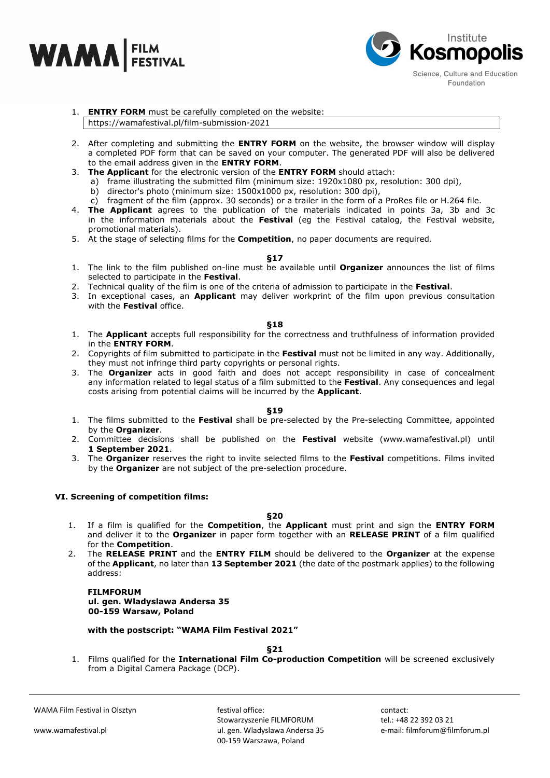



# 1. **ENTRY FORM** must be carefully completed on the website: https://wamafestival.pl/film-submission-2021

- 2. After completing and submitting the **ENTRY FORM** on the website, the browser window will display a completed PDF form that can be saved on your computer. The generated PDF will also be delivered to the email address given in the **ENTRY FORM**.
- 3. **The Applicant** for the electronic version of the **ENTRY FORM** should attach:
	- a) frame illustrating the submitted film (minimum size: 1920x1080 px, resolution: 300 dpi),
	- b) director's photo (minimum size: 1500x1000 px, resolution: 300 dpi),
	- c) fragment of the film (approx. 30 seconds) or a trailer in the form of a ProRes file or H.264 file.
- 4. **The Applicant** agrees to the publication of the materials indicated in points 3a, 3b and 3c in the information materials about the **Festival** (eg the Festival catalog, the Festival website, promotional materials).
- 5. At the stage of selecting films for the **Competition**, no paper documents are required.

#### **§17**

- 1. The link to the film published on-line must be available until **Organizer** announces the list of films selected to participate in the **Festival**.
- 2. Technical quality of the film is one of the criteria of admission to participate in the **Festival**.
- 3. In exceptional cases, an **Applicant** may deliver workprint of the film upon previous consultation with the **Festival** office.

## **§18**

- 1. The **Applicant** accepts full responsibility for the correctness and truthfulness of information provided in the **ENTRY FORM**.
- 2. Copyrights of film submitted to participate in the **Festival** must not be limited in any way. Additionally, they must not infringe third party copyrights or personal rights.
- 3. The **Organizer** acts in good faith and does not accept responsibility in case of concealment any information related to legal status of a film submitted to the **Festival**. Any consequences and legal costs arising from potential claims will be incurred by the **Applicant**.

## **§19**

- 1. The films submitted to the **Festival** shall be pre-selected by the Pre-selecting Committee, appointed by the **Organizer**.
- 2. Committee decisions shall be published on the **Festival** website (www.wamafestival.pl) until **1 September 2021**.
- 3. The **Organizer** reserves the right to invite selected films to the **Festival** competitions. Films invited by the **Organizer** are not subject of the pre-selection procedure.

## **VI. Screening of competition films:**

**§20**

- 1. If a film is qualified for the **Competition**, the **Applicant** must print and sign the **ENTRY FORM**  and deliver it to the **Organizer** in paper form together with an **RELEASE PRINT** of a film qualified for the **Competition**.
- 2. The **RELEASE PRINT** and the **ENTRY FILM** should be delivered to the **Organizer** at the expense of the **Applicant**, no later than **13 September 2021** (the date of the postmark applies) to the following address:

## **FILMFORUM ul. gen. Wladyslawa Andersa 35 00-159 Warsaw, Poland**

**with the postscript: "WAMA Film Festival 2021"**

**§21**

1. Films qualified for the **International Film Co-production Competition** will be screened exclusively from a Digital Camera Package (DCP).

WAMA Film Festival in Olsztyn

www.wamafestival.pl

festival office: Stowarzyszenie FILMFORUM ul. gen. Wladyslawa Andersa 35 00-159 Warszawa, Poland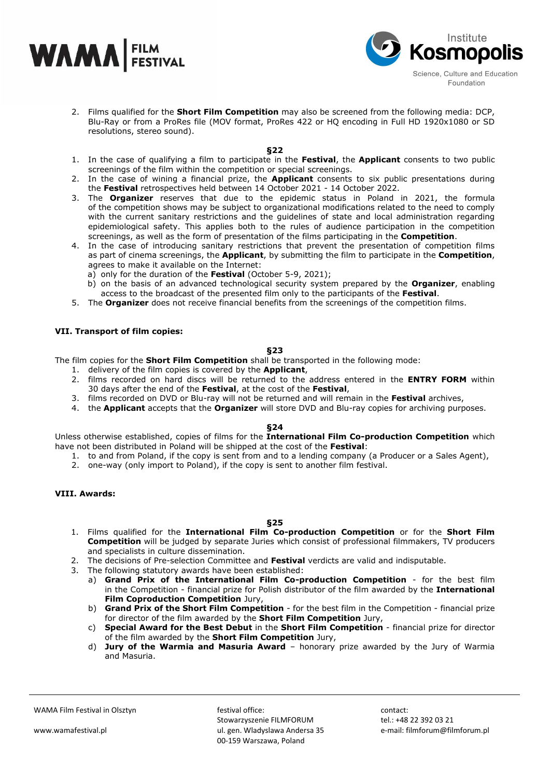



2. Films qualified for the **Short Film Competition** may also be screened from the following media: DCP, Blu-Ray or from a ProRes file (MOV format, ProRes 422 or HQ encoding in Full HD 1920x1080 or SD resolutions, stereo sound).

#### **§22**

- 1. In the case of qualifying a film to participate in the **Festival**, the **Applicant** consents to two public screenings of the film within the competition or special screenings.
- 2. In the case of wining a financial prize, the **Applicant** consents to six public presentations during the **Festival** retrospectives held between 14 October 2021 - 14 October 2022.
- 3. The **Organizer** reserves that due to the epidemic status in Poland in 2021, the formula of the competition shows may be subject to organizational modifications related to the need to comply with the current sanitary restrictions and the guidelines of state and local administration regarding epidemiological safety. This applies both to the rules of audience participation in the competition screenings, as well as the form of presentation of the films participating in the **Competition**.
- 4. In the case of introducing sanitary restrictions that prevent the presentation of competition films as part of cinema screenings, the **Applicant**, by submitting the film to participate in the **Competition**, agrees to make it available on the Internet:
	- a) only for the duration of the **Festival** (October 5-9, 2021);
	- b) on the basis of an advanced technological security system prepared by the **Organizer**, enabling access to the broadcast of the presented film only to the participants of the **Festival**.
- 5. The **Organizer** does not receive financial benefits from the screenings of the competition films.

## **VII. Transport of film copies:**

#### **§23**

The film copies for the **Short Film Competition** shall be transported in the following mode:

- 1. delivery of the film copies is covered by the **Applicant**,
- 2. films recorded on hard discs will be returned to the address entered in the **ENTRY FORM** within 30 days after the end of the **Festival**, at the cost of the **Festival**,
- 3. films recorded on DVD or Blu-ray will not be returned and will remain in the **Festival** archives,
- 4. the **Applicant** accepts that the **Organizer** will store DVD and Blu-ray copies for archiving purposes.

# **§24**

Unless otherwise established, copies of films for the **International Film Co-production Competition** which have not been distributed in Poland will be shipped at the cost of the **Festival**:

- 1. to and from Poland, if the copy is sent from and to a lending company (a Producer or a Sales Agent),
- 2. one-way (only import to Poland), if the copy is sent to another film festival.

# **VIII. Awards:**

## **§25**

- 1. Films qualified for the **International Film Co-production Competition** or for the **Short Film Competition** will be judged by separate Juries which consist of professional filmmakers, TV producers and specialists in culture dissemination.
- 2. The decisions of Pre-selection Committee and **Festival** verdicts are valid and indisputable.
- 3. The following statutory awards have been established:
	- a) **Grand Prix of the International Film Co-production Competition** for the best film in the Competition - financial prize for Polish distributor of the film awarded by the **International Film Coproduction Competition** Jury,
	- b) **Grand Prix of the Short Film Competition** for the best film in the Competition financial prize for director of the film awarded by the **Short Film Competition** Jury,
	- c) **Special Award for the Best Debut** in the **Short Film Competition**  financial prize for director of the film awarded by the **Short Film Competition** Jury,
	- d) **Jury of the Warmia and Masuria Award** honorary prize awarded by the Jury of Warmia and Masuria.

festival office: Stowarzyszenie FILMFORUM ul. gen. Wladyslawa Andersa 35 00-159 Warszawa, Poland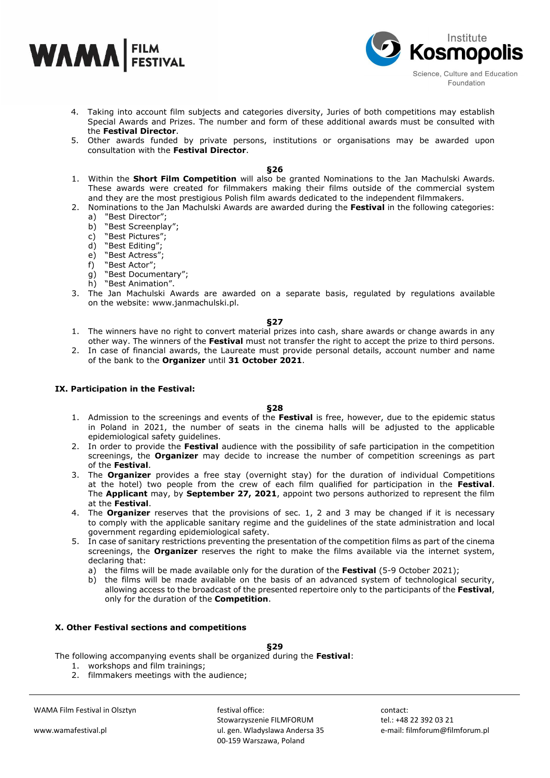



- 4. Taking into account film subjects and categories diversity, Juries of both competitions may establish Special Awards and Prizes. The number and form of these additional awards must be consulted with the **Festival Director**.
- 5. Other awards funded by private persons, institutions or organisations may be awarded upon consultation with the **Festival Director**.

#### **§26**

- 1. Within the **Short Film Competition** will also be granted Nominations to the Jan Machulski Awards. These awards were created for filmmakers making their films outside of the commercial system and they are the most prestigious Polish film awards dedicated to the independent filmmakers.
- 2. Nominations to the Jan Machulski Awards are awarded during the **Festival** in the following categories: a) "Best Director";
	- b) "Best Screenplay";
	- c) "Best Pictures";
	- d) "Best Editing";
	- e) "Best Actress";
	- f) "Best Actor";
	- g) "Best Documentary";
	- h) "Best Animation".
- 3. The Jan Machulski Awards are awarded on a separate basis, regulated by regulations available on the website: www.janmachulski.pl.

#### **§27**

- 1. The winners have no right to convert material prizes into cash, share awards or change awards in any other way. The winners of the **Festival** must not transfer the right to accept the prize to third persons.
- 2. In case of financial awards, the Laureate must provide personal details, account number and name of the bank to the **Organizer** until **31 October 2021**.

## **IX. Participation in the Festival:**

#### **§28**

- 1. Admission to the screenings and events of the **Festival** is free, however, due to the epidemic status in Poland in 2021, the number of seats in the cinema halls will be adjusted to the applicable epidemiological safety guidelines.
- 2. In order to provide the **Festival** audience with the possibility of safe participation in the competition screenings, the **Organizer** may decide to increase the number of competition screenings as part of the **Festival**.
- 3. The **Organizer** provides a free stay (overnight stay) for the duration of individual Competitions at the hotel) two people from the crew of each film qualified for participation in the **Festival**. The **Applicant** may, by **September 27, 2021**, appoint two persons authorized to represent the film at the **Festival**.
- 4. The **Organizer** reserves that the provisions of sec. 1, 2 and 3 may be changed if it is necessary to comply with the applicable sanitary regime and the guidelines of the state administration and local government regarding epidemiological safety.
- 5. In case of sanitary restrictions preventing the presentation of the competition films as part of the cinema screenings, the **Organizer** reserves the right to make the films available via the internet system, declaring that:
	- a) the films will be made available only for the duration of the **Festival** (5-9 October 2021);
	- b) the films will be made available on the basis of an advanced system of technological security, allowing access to the broadcast of the presented repertoire only to the participants of the **Festival**, only for the duration of the **Competition**.

#### **X. Other Festival sections and competitions**

**§29**

The following accompanying events shall be organized during the **Festival**:

- 1. workshops and film trainings;
- 2. filmmakers meetings with the audience;

WAMA Film Festival in Olsztyn

www.wamafestival.pl

festival office: Stowarzyszenie FILMFORUM ul. gen. Wladyslawa Andersa 35 00-159 Warszawa, Poland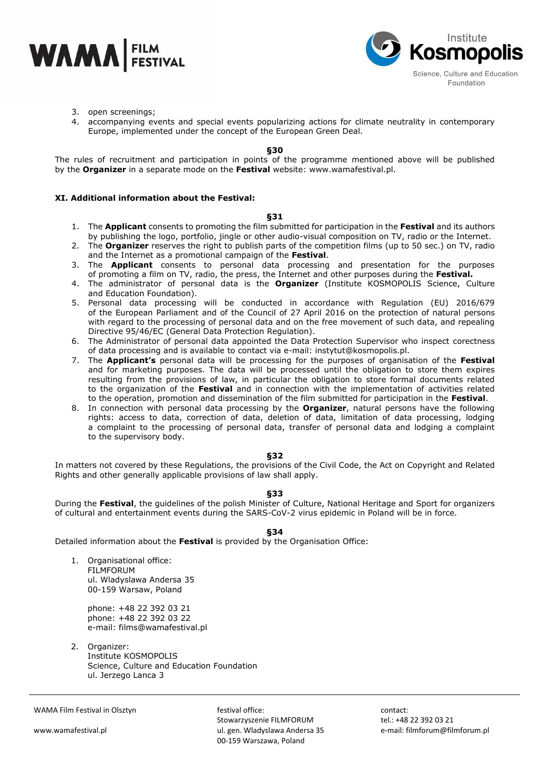



- 3. open screenings;
- 4. accompanying events and special events popularizing actions for climate neutrality in contemporary Europe, implemented under the concept of the European Green Deal.

#### **§30**

The rules of recruitment and participation in points of the programme mentioned above will be published by the **Organizer** in a separate mode on the **Festival** website: www.wamafestival.pl.

## **XI. Additional information about the Festival:**

#### **§31**

- 1. The **Applicant** consents to promoting the film submitted for participation in the **Festival** and its authors by publishing the logo, portfolio, jingle or other audio-visual composition on TV, radio or the Internet.
- 2. The **Organizer** reserves the right to publish parts of the competition films (up to 50 sec.) on TV, radio and the Internet as a promotional campaign of the **Festival**.
- 3. The **Applicant** consents to personal data processing and presentation for the purposes of promoting a film on TV, radio, the press, the Internet and other purposes during the **Festival.**
- 4. The administrator of personal data is the **Organizer** (Institute KOSMOPOLIS Science, Culture and Education Foundation).
- 5. Personal data processing will be conducted in accordance with Regulation (EU) 2016/679 of the European Parliament and of the Council of 27 April 2016 on the protection of natural persons with regard to the processing of personal data and on the free movement of such data, and repealing Directive 95/46/EC (General Data Protection Regulation).
- 6. The Administrator of personal data appointed the Data Protection Supervisor who inspect corectness of data processing and is available to contact via e-mail: instytut@kosmopolis.pl.
- 7. The **Applicant's** personal data will be processing for the purposes of organisation of the **Festival** and for marketing purposes. The data will be processed until the obligation to store them expires resulting from the provisions of law, in particular the obligation to store formal documents related to the organization of the **Festival** and in connection with the implementation of activities related to the operation, promotion and dissemination of the film submitted for participation in the **Festival**.
- 8. In connection with personal data processing by the **Organizer**, natural persons have the following rights: access to data, correction of data, deletion of data, limitation of data processing, lodging a complaint to the processing of personal data, transfer of personal data and lodging a complaint to the supervisory body.

#### **§32**

In matters not covered by these Regulations, the provisions of the Civil Code, the Act on Copyright and Related Rights and other generally applicable provisions of law shall apply.

## **§33**

During the **Festival**, the guidelines of the polish Minister of Culture, National Heritage and Sport for organizers of cultural and entertainment events during the SARS-CoV-2 virus epidemic in Poland will be in force.

**§34**

Detailed information about the **Festival** is provided by the Organisation Office:

1. Organisational office: FILMFORUM ul. Wladyslawa Andersa 35 00-159 Warsaw, Poland

> phone: +48 22 392 03 21 phone: +48 22 392 03 22 e-mail: films@wamafestival.pl

2. Organizer: Institute KOSMOPOLIS Science, Culture and Education Foundation ul. Jerzego Lanca 3

WAMA Film Festival in Olsztyn

festival office: Stowarzyszenie FILMFORUM ul. gen. Wladyslawa Andersa 35 00-159 Warszawa, Poland